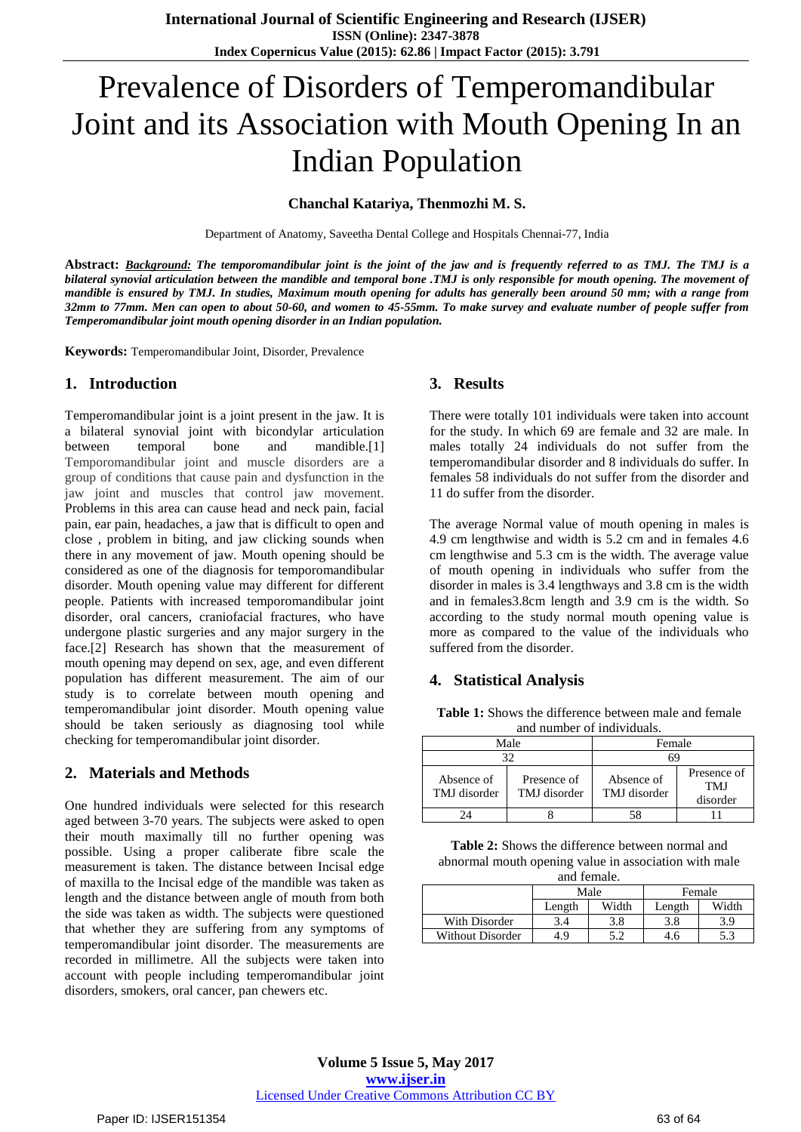# Prevalence of Disorders of Temperomandibular Joint and its Association with Mouth Opening In an Indian Population

## **Chanchal Katariya, Thenmozhi M. S.**

Department of Anatomy, Saveetha Dental College and Hospitals Chennai-77, India

Abstract: Background: The temporomandibular joint is the joint of the jaw and is frequently referred to as TMJ. The TMJ is a bilateral synovial articulation between the mandible and temporal bone .TMJ is only responsible for mouth opening. The movement of mandible is ensured by TMJ. In studies, Maximum mouth opening for adults has generally been around 50 mm; with a range from 32mm to 77mm. Men can open to about 50-60, and women to 45-55mm. To make survey and evaluate number of people suffer from *Temperomandibular joint mouth opening disorder in an Indian population.*

**Keywords:** Temperomandibular Joint, Disorder, Prevalence

## **1. Introduction**

Temperomandibular joint is a joint present in the jaw. It is a bilateral synovial joint with bicondylar articulation between temporal bone and mandible.[1] Temporomandibular joint and muscle disorders are a group of conditions that cause pain and dysfunction in the jaw joint and muscles that control jaw movement. Problems in this area can cause head and neck pain, facial pain, ear pain, headaches, a jaw that is difficult to open and close , problem in biting, and jaw clicking sounds when there in any movement of jaw. Mouth opening should be considered as one of the diagnosis for temporomandibular disorder. Mouth opening value may different for different people. Patients with increased temporomandibular joint disorder, oral cancers, craniofacial fractures, who have undergone plastic surgeries and any major surgery in the face.[2] Research has shown that the measurement of mouth opening may depend on sex, age, and even different population has different measurement. The aim of our study is to correlate between mouth opening and temperomandibular joint disorder. Mouth opening value should be taken seriously as diagnosing tool while checking for temperomandibular joint disorder.

## **2. Materials and Methods**

One hundred individuals were selected for this research aged between 3-70 years. The subjects were asked to open their mouth maximally till no further opening was possible. Using a proper caliberate fibre scale the measurement is taken. The distance between Incisal edge of maxilla to the Incisal edge of the mandible was taken as length and the distance between angle of mouth from both the side was taken as width. The subjects were questioned that whether they are suffering from any symptoms of temperomandibular joint disorder. The measurements are recorded in millimetre. All the subjects were taken into account with people including temperomandibular joint disorders, smokers, oral cancer, pan chewers etc.

#### **3. Results**

There were totally 101 individuals were taken into account for the study. In which 69 are female and 32 are male. In males totally 24 individuals do not suffer from the temperomandibular disorder and 8 individuals do suffer. In females 58 individuals do not suffer from the disorder and 11 do suffer from the disorder.

The average Normal value of mouth opening in males is 4.9 cm lengthwise and width is 5.2 cm and in females 4.6 cm lengthwise and 5.3 cm is the width. The average value of mouth opening in individuals who suffer from the disorder in males is 3.4 lengthways and 3.8 cm is the width and in females3.8cm length and 3.9 cm is the width. So according to the study normal mouth opening value is more as compared to the value of the individuals who suffered from the disorder.

## **4. Statistical Analysis**

**Table 1:** Shows the difference between male and female and number of individuals.

| Male                       |                             | Female                     |                                |  |
|----------------------------|-----------------------------|----------------------------|--------------------------------|--|
| 32                         |                             | 69                         |                                |  |
| Absence of<br>TMJ disorder | Presence of<br>TMJ disorder | Absence of<br>TMJ disorder | Presence of<br>TMJ<br>disorder |  |
|                            |                             |                            |                                |  |

**Table 2:** Shows the difference between normal and abnormal mouth opening value in association with male and female.

| $\cdots \cdots$  |        |       |        |       |  |  |  |
|------------------|--------|-------|--------|-------|--|--|--|
|                  | Male   |       | Female |       |  |  |  |
|                  | Length | Width | Length | Width |  |  |  |
| With Disorder    |        | 3.8   | 3.8    | 3.9   |  |  |  |
| Without Disorder | 4.9    | 5.2   | 4.6    | 5.3   |  |  |  |